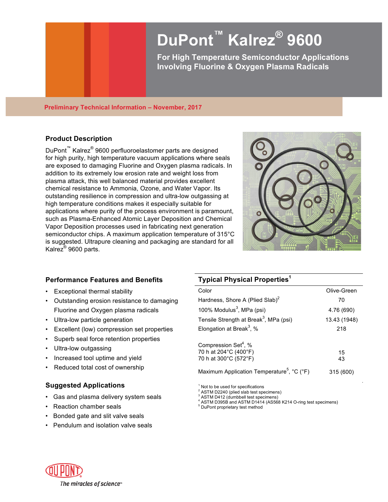# **DuPont™ Kalrez® 9600**

**For High Temperature Semiconductor Applications Involving Fluorine & Oxygen Plasma Radicals**

#### **Preliminary Technical Information – November, 2017**

# **Product Description**

DuPont™ Kalrez® 9600 perfluoroelastomer parts are designed for high purity, high temperature vacuum applications where seals are exposed to damaging Fluorine and Oxygen plasma radicals. In addition to its extremely low erosion rate and weight loss from plasma attack, this well balanced material provides excellent chemical resistance to Ammonia, Ozone, and Water Vapor. Its outstanding resilience in compression and ultra-low outgassing at high temperature conditions makes it especially suitable for applications where purity of the process environment is paramount, such as Plasma-Enhanced Atomic Layer Deposition and Chemical Vapor Deposition processes used in fabricating next generation semiconductor chips. A maximum application temperature of 315°C is suggested. Ultrapure cleaning and packaging are standard for all Kalrez® 9600 parts.



## **Performance Features and Benefits**

- Exceptional thermal stability
- Outstanding erosion resistance to damaging Fluorine and Oxygen plasma radicals
- Ultra-low particle generation
- Excellent (low) compression set properties
- Superb seal force retention properties
- Ultra-low outgassing
- Increased tool uptime and yield
- Reduced total cost of ownership

## **Suggested Applications**

- Gas and plasma delivery system seals
- Reaction chamber seals
- Bonded gate and slit valve seals
- Pendulum and isolation valve seals

## **Typical Physical Properties<sup>1</sup>**

| Color                                                                              | Olive-Green  |
|------------------------------------------------------------------------------------|--------------|
| Hardness, Shore A (Plied Slab) <sup>2</sup>                                        | 70           |
| 100% Modulus $3$ , MPa (psi)                                                       | 4.76 (690)   |
| Tensile Strength at Break <sup>3</sup> , MPa (psi)                                 | 13.43 (1948) |
| Elongation at Break <sup>3</sup> , %                                               | 218          |
| Compression Set <sup>4</sup> , %<br>70 h at 204°C (400°F)<br>70 h at 300°C (572°F) | 15<br>43     |
| Maximum Application Temperature <sup>5</sup> , °C (°F)                             | 315 (600)    |

 $1$  Not to be used for specifications<br> $2$  ASTM D2240 (plied slab test specimens)

<sup>2</sup> ASTM D412 (dumbbell test specimens)<br>
<sup>4</sup> ASTM D395B and ASTM D1414 (AS568 K214 O-ring test specimens)<br>
<sup>5</sup> DuPont proprietary test method

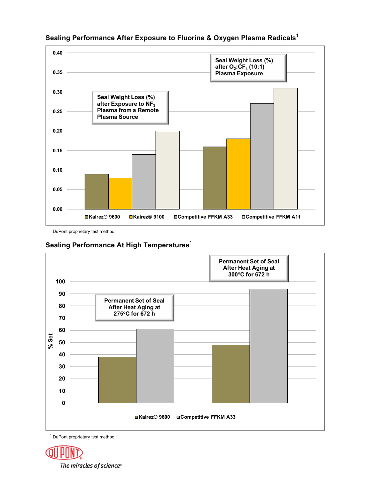

# **Sealing Performance After Exposure to Fluorine & Oxygen Plasma Radicals**<sup>1</sup>

<sup>1</sup> DuPont proprietary test method

# **Sealing Performance At High Temperatures**<sup>1</sup>



<sup>1</sup> DuPont proprietary test method